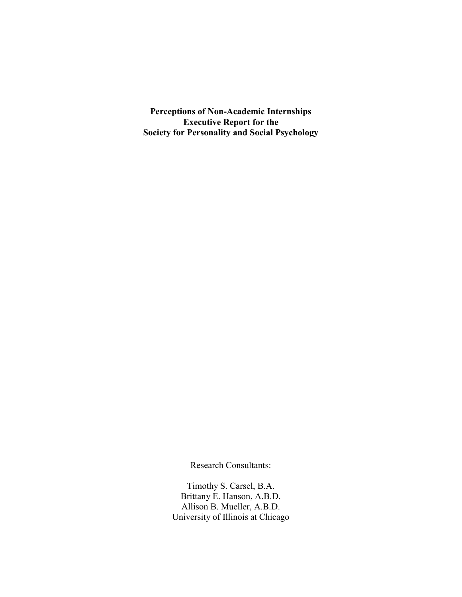**Perceptions of Non-Academic Internships Executive Report for the Society for Personality and Social Psychology**

Research Consultants:

Timothy S. Carsel, B.A. Brittany E. Hanson, A.B.D. Allison B. Mueller, A.B.D. University of Illinois at Chicago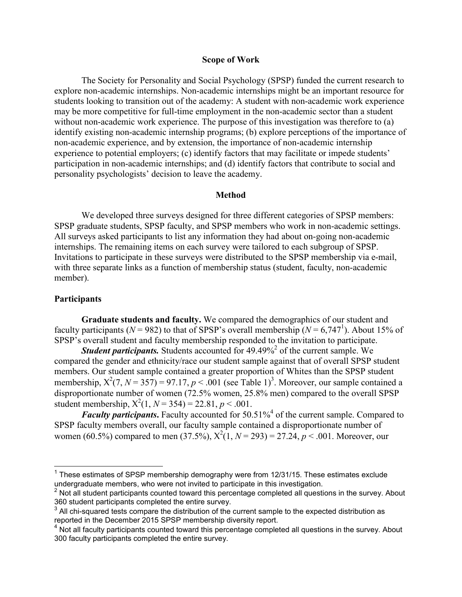#### **Scope of Work**

The Society for Personality and Social Psychology (SPSP) funded the current research to explore non-academic internships. Non-academic internships might be an important resource for students looking to transition out of the academy: A student with non-academic work experience may be more competitive for full-time employment in the non-academic sector than a student without non-academic work experience. The purpose of this investigation was therefore to (a) identify existing non-academic internship programs; (b) explore perceptions of the importance of non-academic experience, and by extension, the importance of non-academic internship experience to potential employers; (c) identify factors that may facilitate or impede students' participation in non-academic internships; and (d) identify factors that contribute to social and personality psychologists' decision to leave the academy.

### **Method**

We developed three surveys designed for three different categories of SPSP members: SPSP graduate students, SPSP faculty, and SPSP members who work in non-academic settings. All surveys asked participants to list any information they had about on-going non-academic internships. The remaining items on each survey were tailored to each subgroup of SPSP. Invitations to participate in these surveys were distributed to the SPSP membership via e-mail, with three separate links as a function of membership status (student, faculty, non-academic member).

### **Participants**

**Graduate students and faculty.** We compared the demographics of our student and faculty participants ( $N = 982$ ) to that of SPSP's overall membership ( $N = 6,747^1$ ). About 15% of SPSP's overall student and faculty membership responded to the invitation to participate.

*Student participants.* Students accounted for 49.49%<sup>2</sup> of the current sample. We compared the gender and ethnicity/race our student sample against that of overall SPSP student members. Our student sample contained a greater proportion of Whites than the SPSP student membership,  $X^2(7, N = 357) = 97.17, p < .001$  (see Table 1)<sup>3</sup>. Moreover, our sample contained a disproportionate number of women (72.5% women, 25.8% men) compared to the overall SPSP student membership,  $X^2(1, N = 354) = 22.81, p < .001$ .

*Faculty participants*. Faculty accounted for 50.51%<sup>4</sup> of the current sample. Compared to SPSP faculty members overall, our faculty sample contained a disproportionate number of women (60.5<sup>γ</sup>) compared to men (37.5<sup>γ</sup>),  $X^2(1, N = 293) = 27.24, p < .001$ . Moreover, our

 $1$  These estimates of SPSP membership demography were from 12/31/15. These estimates exclude undergraduate members, who were not invited to participate in this investigation.

 $2$  Not all student participants counted toward this percentage completed all questions in the survey. About 360 student participants completed the entire survey.

 $3$  All chi-squared tests compare the distribution of the current sample to the expected distribution as reported in the December 2015 SPSP membership diversity report.

 $4\overline{)}$  Not all faculty participants counted toward this percentage completed all questions in the survey. About 300 faculty participants completed the entire survey.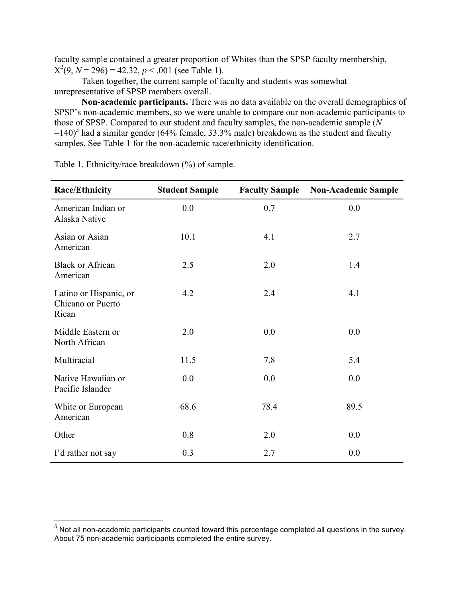faculty sample contained a greater proportion of Whites than the SPSP faculty membership,  $X^2(9, N = 296) = 42.32, p < .001$  (see Table 1).

Taken together, the current sample of faculty and students was somewhat unrepresentative of SPSP members overall.

**Non-academic participants.** There was no data available on the overall demographics of SPSP's non-academic members, so we were unable to compare our non-academic participants to those of SPSP. Compared to our student and faculty samples, the non-academic sample (*N*  $=140$ <sup>5</sup> had a similar gender (64% female, 33.3% male) breakdown as the student and faculty samples. See Table 1 for the non-academic race/ethnicity identification.

| <b>Race/Ethnicity</b>                                | <b>Student Sample</b> | <b>Faculty Sample</b> | <b>Non-Academic Sample</b> |
|------------------------------------------------------|-----------------------|-----------------------|----------------------------|
| American Indian or<br>Alaska Native                  | 0.0                   | 0.7                   | 0.0                        |
| Asian or Asian<br>American                           | 10.1                  | 4.1                   | 2.7                        |
| <b>Black or African</b><br>American                  | 2.5                   | 2.0                   | 1.4                        |
| Latino or Hispanic, or<br>Chicano or Puerto<br>Rican | 4.2                   | 2.4                   | 4.1                        |
| Middle Eastern or<br>North African                   | 2.0                   | 0.0                   | 0.0                        |
| Multiracial                                          | 11.5                  | 7.8                   | 5.4                        |
| Native Hawaiian or<br>Pacific Islander               | 0.0                   | 0.0                   | 0.0                        |
| White or European<br>American                        | 68.6                  | 78.4                  | 89.5                       |
| Other                                                | 0.8                   | 2.0                   | 0.0                        |
| I'd rather not say                                   | 0.3                   | 2.7                   | 0.0                        |

Table 1. Ethnicity/race breakdown (%) of sample.

 $<sup>5</sup>$  Not all non-academic participants counted toward this percentage completed all questions in the survey.</sup> About 75 non-academic participants completed the entire survey.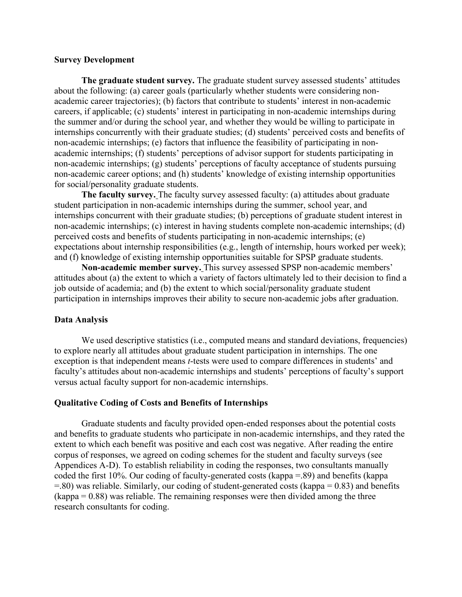### **Survey Development**

**The graduate student survey.** The graduate student survey assessed students' attitudes about the following: (a) career goals (particularly whether students were considering nonacademic career trajectories); (b) factors that contribute to students' interest in non-academic careers, if applicable; (c) students' interest in participating in non-academic internships during the summer and/or during the school year, and whether they would be willing to participate in internships concurrently with their graduate studies; (d) students' perceived costs and benefits of non-academic internships; (e) factors that influence the feasibility of participating in nonacademic internships; (f) students' perceptions of advisor support for students participating in non-academic internships; (g) students' perceptions of faculty acceptance of students pursuing non-academic career options; and (h) students' knowledge of existing internship opportunities for social/personality graduate students.

**The faculty survey.** The faculty survey assessed faculty: (a) attitudes about graduate student participation in non-academic internships during the summer, school year, and internships concurrent with their graduate studies; (b) perceptions of graduate student interest in non-academic internships; (c) interest in having students complete non-academic internships; (d) perceived costs and benefits of students participating in non-academic internships; (e) expectations about internship responsibilities (e.g., length of internship, hours worked per week); and (f) knowledge of existing internship opportunities suitable for SPSP graduate students.

**Non-academic member survey.** This survey assessed SPSP non-academic members' attitudes about (a) the extent to which a variety of factors ultimately led to their decision to find a job outside of academia; and (b) the extent to which social/personality graduate student participation in internships improves their ability to secure non-academic jobs after graduation.

#### **Data Analysis**

We used descriptive statistics (i.e., computed means and standard deviations, frequencies) to explore nearly all attitudes about graduate student participation in internships. The one exception is that independent means *t*-tests were used to compare differences in students' and faculty's attitudes about non-academic internships and students' perceptions of faculty's support versus actual faculty support for non-academic internships.

#### **Qualitative Coding of Costs and Benefits of Internships**

Graduate students and faculty provided open-ended responses about the potential costs and benefits to graduate students who participate in non-academic internships, and they rated the extent to which each benefit was positive and each cost was negative. After reading the entire corpus of responses, we agreed on coding schemes for the student and faculty surveys (see Appendices A-D). To establish reliability in coding the responses, two consultants manually coded the first 10%. Our coding of faculty-generated costs (kappa =.89) and benefits (kappa =.80) was reliable. Similarly, our coding of student-generated costs (kappa = 0.83) and benefits  $(kappa = 0.88)$  was reliable. The remaining responses were then divided among the three research consultants for coding.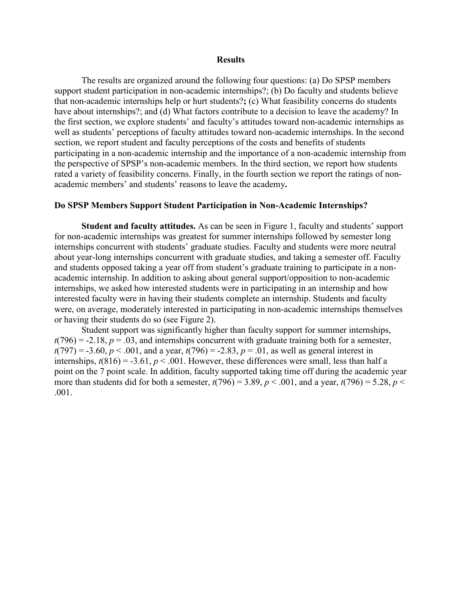#### **Results**

The results are organized around the following four questions: (a) Do SPSP members support student participation in non-academic internships?; (b) Do faculty and students believe that non-academic internships help or hurt students?**;** (c) What feasibility concerns do students have about internships?; and (d) What factors contribute to a decision to leave the academy? In the first section, we explore students' and faculty's attitudes toward non-academic internships as well as students' perceptions of faculty attitudes toward non-academic internships. In the second section, we report student and faculty perceptions of the costs and benefits of students participating in a non-academic internship and the importance of a non-academic internship from the perspective of SPSP's non-academic members. In the third section, we report how students rated a variety of feasibility concerns. Finally, in the fourth section we report the ratings of nonacademic members' and students' reasons to leave the academy**.**

### **Do SPSP Members Support Student Participation in Non-Academic Internships?**

**Student and faculty attitudes.** As can be seen in Figure 1, faculty and students' support for non-academic internships was greatest for summer internships followed by semester long internships concurrent with students' graduate studies. Faculty and students were more neutral about year-long internships concurrent with graduate studies, and taking a semester off. Faculty and students opposed taking a year off from student's graduate training to participate in a nonacademic internship. In addition to asking about general support/opposition to non-academic internships, we asked how interested students were in participating in an internship and how interested faculty were in having their students complete an internship. Students and faculty were, on average, moderately interested in participating in non-academic internships themselves or having their students do so (see Figure 2).

Student support was significantly higher than faculty support for summer internships,  $t(796) = -2.18$ ,  $p = .03$ , and internships concurrent with graduate training both for a semester,  $t(797) = -3.60, p < .001$ , and a year,  $t(796) = -2.83, p = .01$ , as well as general interest in internships,  $t(816) = -3.61$ ,  $p < .001$ . However, these differences were small, less than half a point on the 7 point scale. In addition, faculty supported taking time off during the academic year more than students did for both a semester,  $t(796) = 3.89$ ,  $p < .001$ , and a year,  $t(796) = 5.28$ ,  $p <$ .001.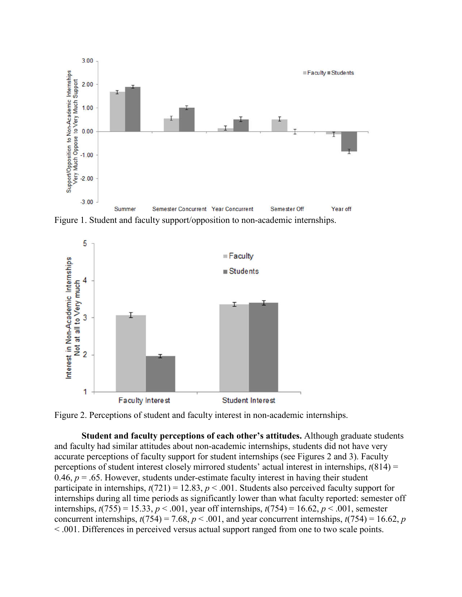

Figure 1. Student and faculty support/opposition to non-academic internships.



Figure 2. Perceptions of student and faculty interest in non-academic internships.

**Student and faculty perceptions of each other's attitudes.** Although graduate students and faculty had similar attitudes about non-academic internships, students did not have very accurate perceptions of faculty support for student internships (see Figures 2 and 3). Faculty perceptions of student interest closely mirrored students' actual interest in internships, *t*(814) = 0.46,  $p = 0.65$ . However, students under-estimate faculty interest in having their student participate in internships,  $t(721) = 12.83$ ,  $p < .001$ . Students also perceived faculty support for internships during all time periods as significantly lower than what faculty reported: semester off internships,  $t(755) = 15.33$ ,  $p < .001$ , year off internships,  $t(754) = 16.62$ ,  $p < .001$ , semester concurrent internships,  $t(754) = 7.68$ ,  $p < .001$ , and year concurrent internships,  $t(754) = 16.62$ , *p* < .001. Differences in perceived versus actual support ranged from one to two scale points.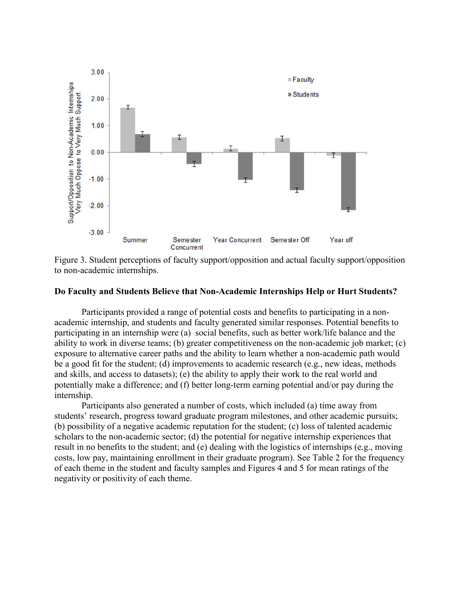

Figure 3. Student perceptions of faculty support/opposition and actual faculty support/opposition to non-academic internships.

### **Do Faculty and Students Believe that Non-Academic Internships Help or Hurt Students?**

Participants provided a range of potential costs and benefits to participating in a nonacademic internship, and students and faculty generated similar responses. Potential benefits to participating in an internship were (a) social benefits, such as better work/life balance and the ability to work in diverse teams; (b) greater competitiveness on the non-academic job market; (c) exposure to alternative career paths and the ability to learn whether a non-academic path would be a good fit for the student; (d) improvements to academic research (e.g., new ideas, methods and skills, and access to datasets); (e) the ability to apply their work to the real world and potentially make a difference; and (f) better long-term earning potential and/or pay during the internship.

Participants also generated a number of costs, which included (a) time away from students' research, progress toward graduate program milestones, and other academic pursuits; (b) possibility of a negative academic reputation for the student; (c) loss of talented academic scholars to the non-academic sector; (d) the potential for negative internship experiences that result in no benefits to the student; and (e) dealing with the logistics of internships (e.g., moving costs, low pay, maintaining enrollment in their graduate program). See Table 2 for the frequency of each theme in the student and faculty samples and Figures 4 and 5 for mean ratings of the negativity or positivity of each theme.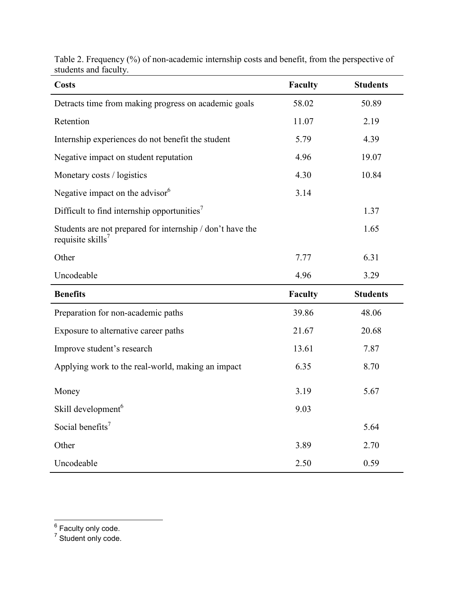| <b>Costs</b>                                                                               | Faculty        | <b>Students</b> |
|--------------------------------------------------------------------------------------------|----------------|-----------------|
| Detracts time from making progress on academic goals                                       | 58.02          | 50.89           |
| Retention                                                                                  | 11.07          | 2.19            |
| Internship experiences do not benefit the student                                          | 5.79           | 4.39            |
| Negative impact on student reputation                                                      | 4.96           | 19.07           |
| Monetary costs / logistics                                                                 | 4.30           | 10.84           |
| Negative impact on the advisor <sup>6</sup>                                                | 3.14           |                 |
| Difficult to find internship opportunities <sup>7</sup>                                    |                | 1.37            |
| Students are not prepared for internship / don't have the<br>requisite skills <sup>7</sup> |                | 1.65            |
| Other                                                                                      | 7.77           | 6.31            |
| Uncodeable                                                                                 | 4.96           | 3.29            |
| <b>Benefits</b>                                                                            | <b>Faculty</b> | <b>Students</b> |
| Preparation for non-academic paths                                                         | 39.86          | 48.06           |
| Exposure to alternative career paths                                                       | 21.67          | 20.68           |
| Improve student's research                                                                 | 13.61          | 7.87            |
| Applying work to the real-world, making an impact                                          | 6.35           | 8.70            |
| Money                                                                                      | 3.19           | 5.67            |
| Skill development <sup>6</sup>                                                             | 9.03           |                 |
| Social benefits <sup>7</sup>                                                               |                | 5.64            |
| Other                                                                                      | 3.89           | 2.70            |
| Uncodeable                                                                                 | 2.50           | 0.59            |

Table 2. Frequency (%) of non-academic internship costs and benefit, from the perspective of students and faculty.

 $7$  Student only code.

\_\_\_\_\_\_\_\_\_\_\_\_\_\_\_\_\_\_\_\_\_<br><sup>6</sup> Faculty only code.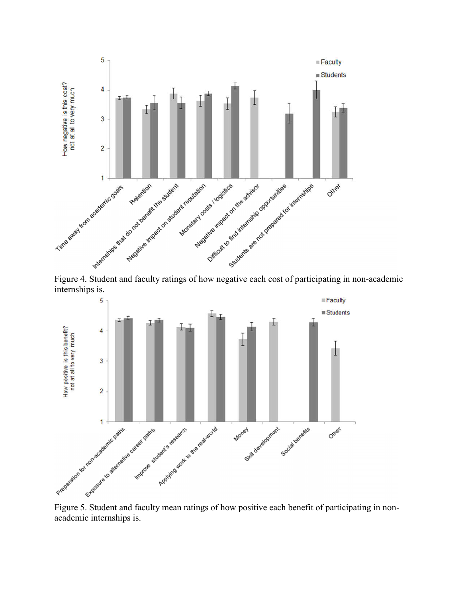

internships is.



academic internships is.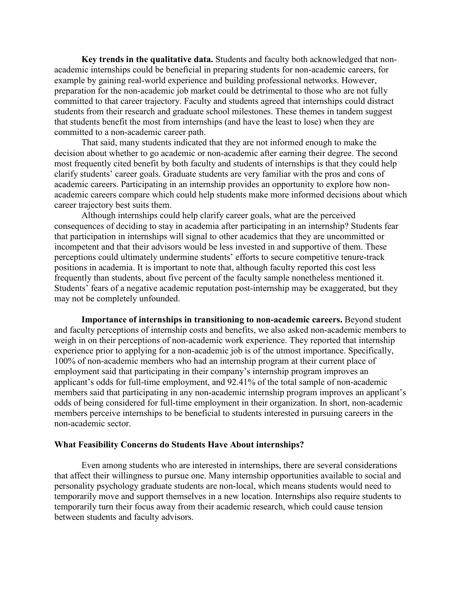**Key trends in the qualitative data.** Students and faculty both acknowledged that nonacademic internships could be beneficial in preparing students for non-academic careers, for example by gaining real-world experience and building professional networks. However, preparation for the non-academic job market could be detrimental to those who are not fully committed to that career trajectory. Faculty and students agreed that internships could distract students from their research and graduate school milestones. These themes in tandem suggest that students benefit the most from internships (and have the least to lose) when they are committed to a non-academic career path.

That said, many students indicated that they are not informed enough to make the decision about whether to go academic or non-academic after earning their degree. The second most frequently cited benefit by both faculty and students of internships is that they could help clarify students' career goals. Graduate students are very familiar with the pros and cons of academic careers. Participating in an internship provides an opportunity to explore how nonacademic careers compare which could help students make more informed decisions about which career trajectory best suits them.

Although internships could help clarify career goals, what are the perceived consequences of deciding to stay in academia after participating in an internship? Students fear that participation in internships will signal to other academics that they are uncommitted or incompetent and that their advisors would be less invested in and supportive of them. These perceptions could ultimately undermine students' efforts to secure competitive tenure-track positions in academia. It is important to note that, although faculty reported this cost less frequently than students, about five percent of the faculty sample nonetheless mentioned it. Students' fears of a negative academic reputation post-internship may be exaggerated, but they may not be completely unfounded.

**Importance of internships in transitioning to non-academic careers.** Beyond student and faculty perceptions of internship costs and benefits, we also asked non-academic members to weigh in on their perceptions of non-academic work experience. They reported that internship experience prior to applying for a non-academic job is of the utmost importance. Specifically, 100% of non-academic members who had an internship program at their current place of employment said that participating in their company's internship program improves an applicant's odds for full-time employment, and 92.41% of the total sample of non-academic members said that participating in any non-academic internship program improves an applicant's odds of being considered for full-time employment in their organization. In short, non-academic members perceive internships to be beneficial to students interested in pursuing careers in the non-academic sector.

### **What Feasibility Concerns do Students Have About internships?**

Even among students who are interested in internships, there are several considerations that affect their willingness to pursue one. Many internship opportunities available to social and personality psychology graduate students are non-local, which means students would need to temporarily move and support themselves in a new location. Internships also require students to temporarily turn their focus away from their academic research, which could cause tension between students and faculty advisors.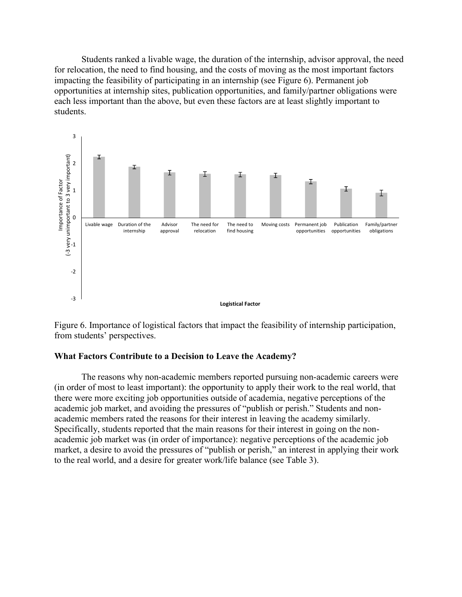Students ranked a livable wage, the duration of the internship, advisor approval, the need for relocation, the need to find housing, and the costs of moving as the most important factors impacting the feasibility of participating in an internship (see Figure 6). Permanent job opportunities at internship sites, publication opportunities, and family/partner obligations were each less important than the above, but even these factors are at least slightly important to students.



Figure 6. Importance of logistical factors that impact the feasibility of internship participation, from students' perspectives.

### **What Factors Contribute to a Decision to Leave the Academy?**

The reasons why non-academic members reported pursuing non-academic careers were (in order of most to least important): the opportunity to apply their work to the real world, that there were more exciting job opportunities outside of academia, negative perceptions of the academic job market, and avoiding the pressures of "publish or perish." Students and nonacademic members rated the reasons for their interest in leaving the academy similarly. Specifically, students reported that the main reasons for their interest in going on the nonacademic job market was (in order of importance): negative perceptions of the academic job market, a desire to avoid the pressures of "publish or perish," an interest in applying their work to the real world, and a desire for greater work/life balance (see Table 3).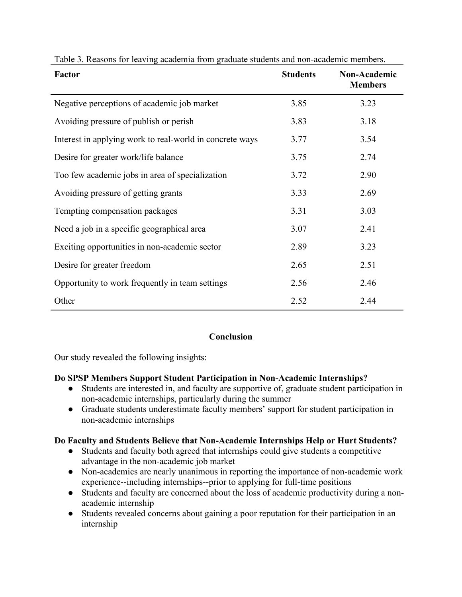| <b>Factor</b>                                            | <b>Students</b> | Non-Academic<br><b>Members</b> |
|----------------------------------------------------------|-----------------|--------------------------------|
| Negative perceptions of academic job market              | 3.85            | 3.23                           |
| Avoiding pressure of publish or perish                   | 3.83            | 3.18                           |
| Interest in applying work to real-world in concrete ways | 3.77            | 3.54                           |
| Desire for greater work/life balance                     | 3.75            | 2.74                           |
| Too few academic jobs in area of specialization          | 3.72            | 2.90                           |
| Avoiding pressure of getting grants                      | 3.33            | 2.69                           |
| Tempting compensation packages                           | 3.31            | 3.03                           |
| Need a job in a specific geographical area               | 3.07            | 2.41                           |
| Exciting opportunities in non-academic sector            | 2.89            | 3.23                           |
| Desire for greater freedom                               | 2.65            | 2.51                           |
| Opportunity to work frequently in team settings          | 2.56            | 2.46                           |
| Other                                                    | 2.52            | 2.44                           |

Table 3. Reasons for leaving academia from graduate students and non-academic members.

### **Conclusion**

Our study revealed the following insights:

### **Do SPSP Members Support Student Participation in Non-Academic Internships?**

- Students are interested in, and faculty are supportive of, graduate student participation in non-academic internships, particularly during the summer
- Graduate students underestimate faculty members' support for student participation in non-academic internships

### **Do Faculty and Students Believe that Non-Academic Internships Help or Hurt Students?**

- Students and faculty both agreed that internships could give students a competitive advantage in the non-academic job market
- Non-academics are nearly unanimous in reporting the importance of non-academic work experience--including internships--prior to applying for full-time positions
- Students and faculty are concerned about the loss of academic productivity during a nonacademic internship
- Students revealed concerns about gaining a poor reputation for their participation in an internship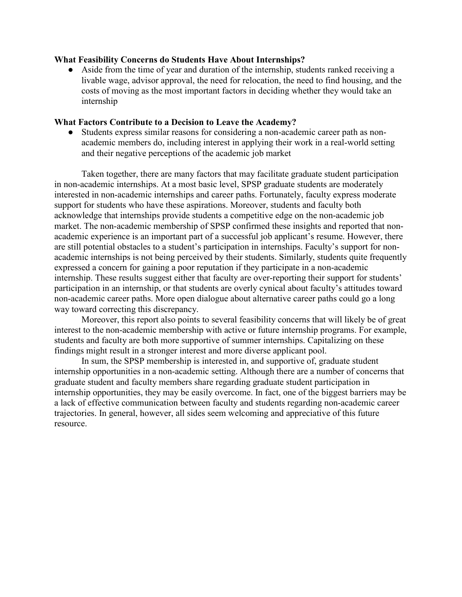### **What Feasibility Concerns do Students Have About Internships?**

• Aside from the time of year and duration of the internship, students ranked receiving a livable wage, advisor approval, the need for relocation, the need to find housing, and the costs of moving as the most important factors in deciding whether they would take an internship

### **What Factors Contribute to a Decision to Leave the Academy?**

● Students express similar reasons for considering a non-academic career path as nonacademic members do, including interest in applying their work in a real-world setting and their negative perceptions of the academic job market

Taken together, there are many factors that may facilitate graduate student participation in non-academic internships. At a most basic level, SPSP graduate students are moderately interested in non-academic internships and career paths. Fortunately, faculty express moderate support for students who have these aspirations. Moreover, students and faculty both acknowledge that internships provide students a competitive edge on the non-academic job market. The non-academic membership of SPSP confirmed these insights and reported that nonacademic experience is an important part of a successful job applicant's resume. However, there are still potential obstacles to a student's participation in internships. Faculty's support for nonacademic internships is not being perceived by their students. Similarly, students quite frequently expressed a concern for gaining a poor reputation if they participate in a non-academic internship. These results suggest either that faculty are over-reporting their support for students' participation in an internship, or that students are overly cynical about faculty's attitudes toward non-academic career paths. More open dialogue about alternative career paths could go a long way toward correcting this discrepancy.

Moreover, this report also points to several feasibility concerns that will likely be of great interest to the non-academic membership with active or future internship programs. For example, students and faculty are both more supportive of summer internships. Capitalizing on these findings might result in a stronger interest and more diverse applicant pool.

In sum, the SPSP membership is interested in, and supportive of, graduate student internship opportunities in a non-academic setting. Although there are a number of concerns that graduate student and faculty members share regarding graduate student participation in internship opportunities, they may be easily overcome. In fact, one of the biggest barriers may be a lack of effective communication between faculty and students regarding non-academic career trajectories. In general, however, all sides seem welcoming and appreciative of this future resource.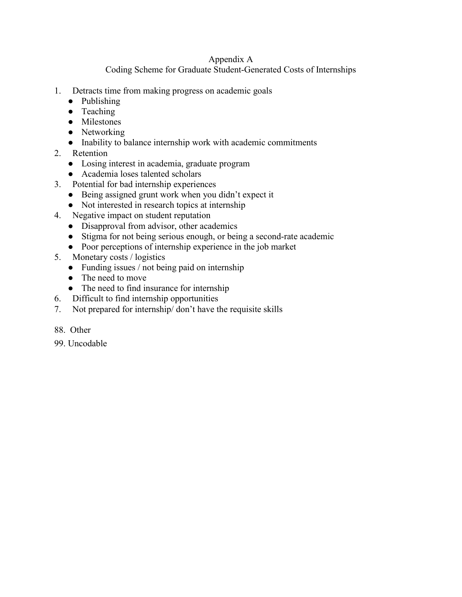## Appendix A

Coding Scheme for Graduate Student-Generated Costs of Internships

- 1. Detracts time from making progress on academic goals
	- Publishing
	- Teaching
	- Milestones
	- Networking
	- Inability to balance internship work with academic commitments
- 2. Retention
	- Losing interest in academia, graduate program
	- Academia loses talented scholars
- 3. Potential for bad internship experiences
	- Being assigned grunt work when you didn't expect it
	- Not interested in research topics at internship
- 4. Negative impact on student reputation
	- Disapproval from advisor, other academics
	- Stigma for not being serious enough, or being a second-rate academic
	- Poor perceptions of internship experience in the job market
- 5. Monetary costs / logistics
	- Funding issues / not being paid on internship
	- The need to move
	- The need to find insurance for internship
- 6. Difficult to find internship opportunities
- 7. Not prepared for internship/ don't have the requisite skills
- 88. Other
- 99. Uncodable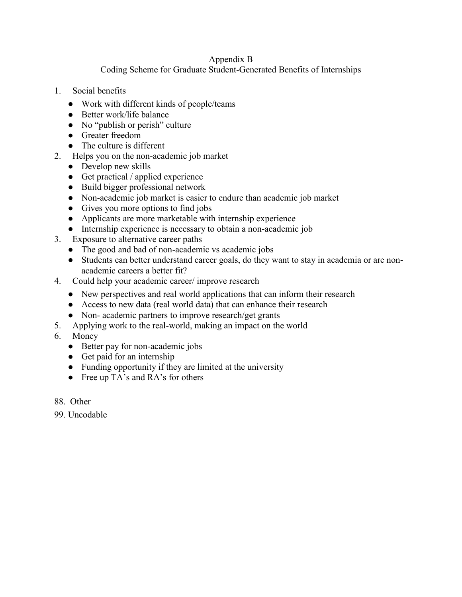### Appendix B

# Coding Scheme for Graduate Student-Generated Benefits of Internships

- 1. Social benefits
	- Work with different kinds of people/teams
	- Better work/life balance
	- No "publish or perish" culture
	- Greater freedom
	- The culture is different
- 2. Helps you on the non-academic job market
	- Develop new skills
	- Get practical / applied experience
	- Build bigger professional network
	- Non-academic job market is easier to endure than academic job market
	- Gives you more options to find jobs
	- Applicants are more marketable with internship experience
	- Internship experience is necessary to obtain a non-academic job
- 3. Exposure to alternative career paths
	- The good and bad of non-academic vs academic jobs
	- Students can better understand career goals, do they want to stay in academia or are nonacademic careers a better fit?
- 4. Could help your academic career/ improve research
	- New perspectives and real world applications that can inform their research
	- Access to new data (real world data) that can enhance their research
	- Non- academic partners to improve research/get grants
- 5. Applying work to the real-world, making an impact on the world
- 6. Money
	- Better pay for non-academic jobs
	- Get paid for an internship
	- Funding opportunity if they are limited at the university
	- Free up TA's and RA's for others
- 88. Other
- 99. Uncodable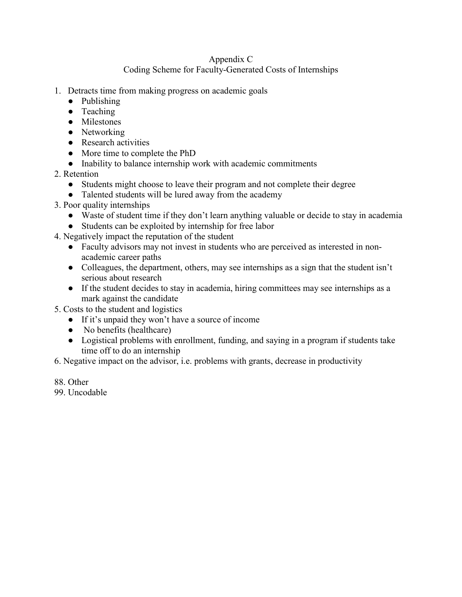# Appendix C

# Coding Scheme for Faculty-Generated Costs of Internships

- 1. Detracts time from making progress on academic goals
	- Publishing
	- Teaching
	- Milestones
	- Networking
	- Research activities
	- More time to complete the PhD
	- Inability to balance internship work with academic commitments
- 2. Retention
	- Students might choose to leave their program and not complete their degree
	- Talented students will be lured away from the academy
- 3. Poor quality internships
	- Waste of student time if they don't learn anything valuable or decide to stay in academia
	- Students can be exploited by internship for free labor
- 4. Negatively impact the reputation of the student
	- Faculty advisors may not invest in students who are perceived as interested in nonacademic career paths
	- Colleagues, the department, others, may see internships as a sign that the student isn't serious about research
	- If the student decides to stay in academia, hiring committees may see internships as a mark against the candidate
- 5. Costs to the student and logistics
	- If it's unpaid they won't have a source of income
	- No benefits (healthcare)
	- Logistical problems with enrollment, funding, and saying in a program if students take time off to do an internship
- 6. Negative impact on the advisor, i.e. problems with grants, decrease in productivity
- 88. Other
- 99. Uncodable